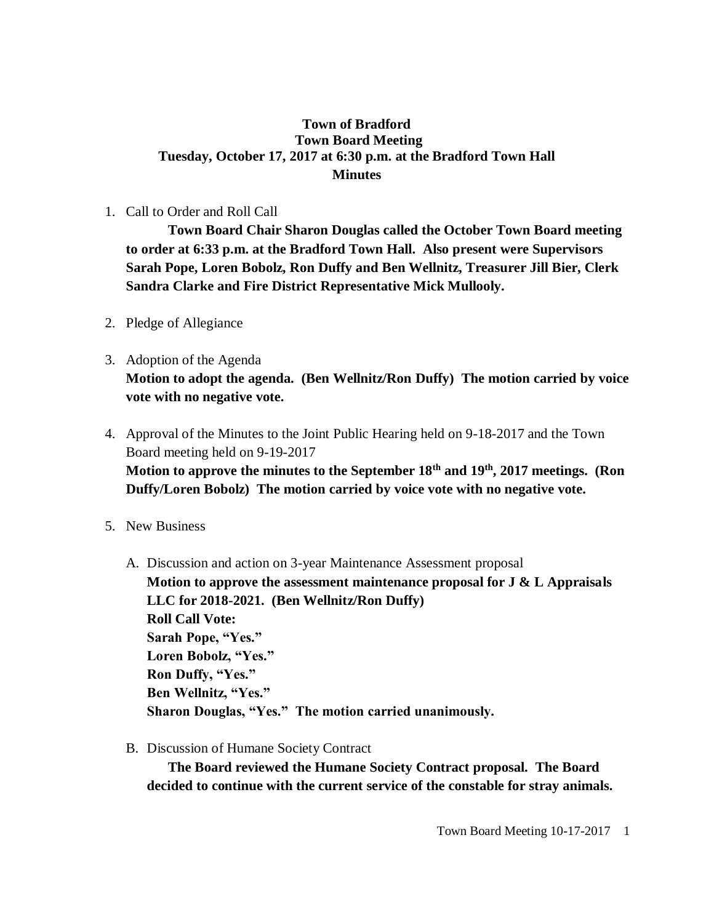## **Town of Bradford Town Board Meeting Tuesday, October 17, 2017 at 6:30 p.m. at the Bradford Town Hall Minutes**

## 1. Call to Order and Roll Call

**Town Board Chair Sharon Douglas called the October Town Board meeting to order at 6:33 p.m. at the Bradford Town Hall. Also present were Supervisors Sarah Pope, Loren Bobolz, Ron Duffy and Ben Wellnitz, Treasurer Jill Bier, Clerk Sandra Clarke and Fire District Representative Mick Mullooly.**

- 2. Pledge of Allegiance
- 3. Adoption of the Agenda **Motion to adopt the agenda. (Ben Wellnitz/Ron Duffy) The motion carried by voice vote with no negative vote.**
- 4. Approval of the Minutes to the Joint Public Hearing held on 9-18-2017 and the Town Board meeting held on 9-19-2017 **Motion to approve the minutes to the September 18th and 19 th, 2017 meetings. (Ron Duffy/Loren Bobolz) The motion carried by voice vote with no negative vote.**
- 5. New Business
	- A. Discussion and action on 3-year Maintenance Assessment proposal **Motion to approve the assessment maintenance proposal for J & L Appraisals LLC for 2018-2021. (Ben Wellnitz/Ron Duffy) Roll Call Vote: Sarah Pope, "Yes." Loren Bobolz, "Yes." Ron Duffy, "Yes." Ben Wellnitz, "Yes." Sharon Douglas, "Yes." The motion carried unanimously.**
	- B. Discussion of Humane Society Contract

**The Board reviewed the Humane Society Contract proposal. The Board decided to continue with the current service of the constable for stray animals.**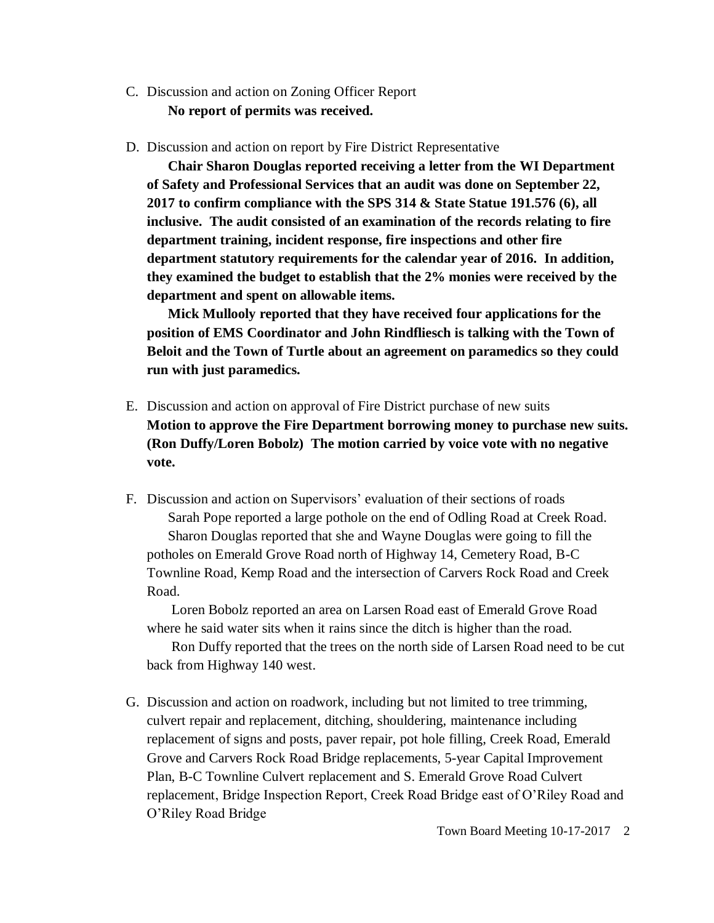- C. Discussion and action on Zoning Officer Report **No report of permits was received.**
- D. Discussion and action on report by Fire District Representative

**Chair Sharon Douglas reported receiving a letter from the WI Department of Safety and Professional Services that an audit was done on September 22, 2017 to confirm compliance with the SPS 314 & State Statue 191.576 (6), all inclusive. The audit consisted of an examination of the records relating to fire department training, incident response, fire inspections and other fire department statutory requirements for the calendar year of 2016. In addition, they examined the budget to establish that the 2% monies were received by the department and spent on allowable items.** 

**Mick Mullooly reported that they have received four applications for the position of EMS Coordinator and John Rindfliesch is talking with the Town of Beloit and the Town of Turtle about an agreement on paramedics so they could run with just paramedics.**

- E. Discussion and action on approval of Fire District purchase of new suits **Motion to approve the Fire Department borrowing money to purchase new suits. (Ron Duffy/Loren Bobolz) The motion carried by voice vote with no negative vote.**
- F. Discussion and action on Supervisors' evaluation of their sections of roads Sarah Pope reported a large pothole on the end of Odling Road at Creek Road. Sharon Douglas reported that she and Wayne Douglas were going to fill the potholes on Emerald Grove Road north of Highway 14, Cemetery Road, B-C Townline Road, Kemp Road and the intersection of Carvers Rock Road and Creek Road.

Loren Bobolz reported an area on Larsen Road east of Emerald Grove Road where he said water sits when it rains since the ditch is higher than the road.

Ron Duffy reported that the trees on the north side of Larsen Road need to be cut back from Highway 140 west.

G. Discussion and action on roadwork, including but not limited to tree trimming, culvert repair and replacement, ditching, shouldering, maintenance including replacement of signs and posts, paver repair, pot hole filling, Creek Road, Emerald Grove and Carvers Rock Road Bridge replacements, 5-year Capital Improvement Plan, B-C Townline Culvert replacement and S. Emerald Grove Road Culvert replacement, Bridge Inspection Report, Creek Road Bridge east of O'Riley Road and O'Riley Road Bridge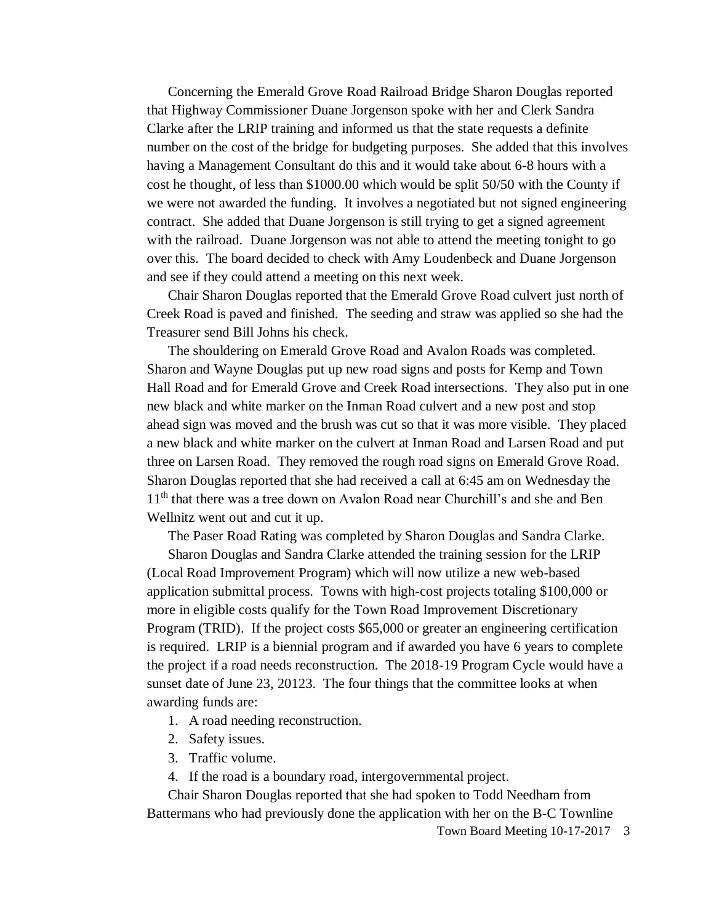Concerning the Emerald Grove Road Railroad Bridge Sharon Douglas reported that Highway Commissioner Duane Jorgenson spoke with her and Clerk Sandra Clarke after the LRIP training and informed us that the state requests a definite number on the cost of the bridge for budgeting purposes. She added that this involves having a Management Consultant do this and it would take about 6-8 hours with a cost he thought, of less than \$1000.00 which would be split 50/50 with the County if we were not awarded the funding. It involves a negotiated but not signed engineering contract. She added that Duane Jorgenson is still trying to get a signed agreement with the railroad. Duane Jorgenson was not able to attend the meeting tonight to go over this. The board decided to check with Amy Loudenbeck and Duane Jorgenson and see if they could attend a meeting on this next week.

Chair Sharon Douglas reported that the Emerald Grove Road culvert just north of Creek Road is paved and finished. The seeding and straw was applied so she had the Treasurer send Bill Johns his check.

The shouldering on Emerald Grove Road and Avalon Roads was completed. Sharon and Wayne Douglas put up new road signs and posts for Kemp and Town Hall Road and for Emerald Grove and Creek Road intersections. They also put in one new black and white marker on the Inman Road culvert and a new post and stop ahead sign was moved and the brush was cut so that it was more visible. They placed a new black and white marker on the culvert at Inman Road and Larsen Road and put three on Larsen Road. They removed the rough road signs on Emerald Grove Road. Sharon Douglas reported that she had received a call at 6:45 am on Wednesday the 11<sup>th</sup> that there was a tree down on Avalon Road near Churchill's and she and Ben Wellnitz went out and cut it up.

The Paser Road Rating was completed by Sharon Douglas and Sandra Clarke.

Sharon Douglas and Sandra Clarke attended the training session for the LRIP (Local Road Improvement Program) which will now utilize a new web-based application submittal process. Towns with high-cost projects totaling \$100,000 or more in eligible costs qualify for the Town Road Improvement Discretionary Program (TRID). If the project costs \$65,000 or greater an engineering certification is required. LRIP is a biennial program and if awarded you have 6 years to complete the project if a road needs reconstruction. The 2018-19 Program Cycle would have a sunset date of June 23, 20123. The four things that the committee looks at when awarding funds are:

1. A road needing reconstruction.

- 2. Safety issues.
- 3. Traffic volume.
- 4. If the road is a boundary road, intergovernmental project.

Chair Sharon Douglas reported that she had spoken to Todd Needham from Battermans who had previously done the application with her on the B-C Townline

Town Board Meeting 10-17-2017 3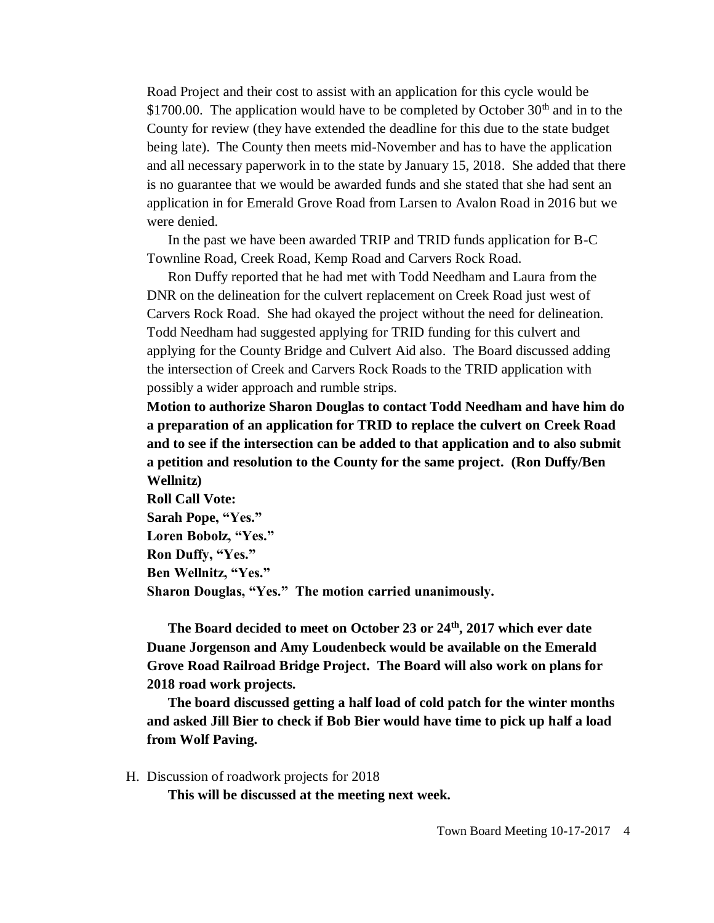Road Project and their cost to assist with an application for this cycle would be \$1700.00. The application would have to be completed by October  $30<sup>th</sup>$  and in to the County for review (they have extended the deadline for this due to the state budget being late). The County then meets mid-November and has to have the application and all necessary paperwork in to the state by January 15, 2018. She added that there is no guarantee that we would be awarded funds and she stated that she had sent an application in for Emerald Grove Road from Larsen to Avalon Road in 2016 but we were denied.

In the past we have been awarded TRIP and TRID funds application for B-C Townline Road, Creek Road, Kemp Road and Carvers Rock Road.

Ron Duffy reported that he had met with Todd Needham and Laura from the DNR on the delineation for the culvert replacement on Creek Road just west of Carvers Rock Road. She had okayed the project without the need for delineation. Todd Needham had suggested applying for TRID funding for this culvert and applying for the County Bridge and Culvert Aid also. The Board discussed adding the intersection of Creek and Carvers Rock Roads to the TRID application with possibly a wider approach and rumble strips.

**Motion to authorize Sharon Douglas to contact Todd Needham and have him do a preparation of an application for TRID to replace the culvert on Creek Road and to see if the intersection can be added to that application and to also submit a petition and resolution to the County for the same project. (Ron Duffy/Ben Wellnitz)**

**Roll Call Vote: Sarah Pope, "Yes." Loren Bobolz, "Yes." Ron Duffy, "Yes." Ben Wellnitz, "Yes." Sharon Douglas, "Yes." The motion carried unanimously.** 

**The Board decided to meet on October 23 or 24th, 2017 which ever date Duane Jorgenson and Amy Loudenbeck would be available on the Emerald Grove Road Railroad Bridge Project. The Board will also work on plans for 2018 road work projects.**

**The board discussed getting a half load of cold patch for the winter months and asked Jill Bier to check if Bob Bier would have time to pick up half a load from Wolf Paving.** 

H. Discussion of roadwork projects for 2018

**This will be discussed at the meeting next week.**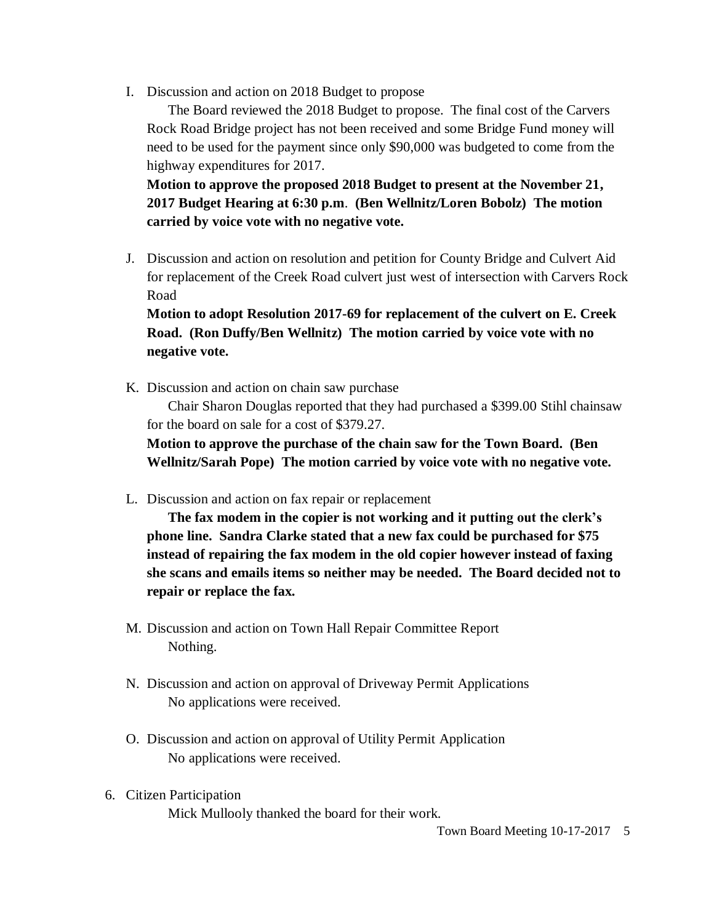I. Discussion and action on 2018 Budget to propose

The Board reviewed the 2018 Budget to propose. The final cost of the Carvers Rock Road Bridge project has not been received and some Bridge Fund money will need to be used for the payment since only \$90,000 was budgeted to come from the highway expenditures for 2017.

**Motion to approve the proposed 2018 Budget to present at the November 21, 2017 Budget Hearing at 6:30 p.m**. **(Ben Wellnitz/Loren Bobolz) The motion carried by voice vote with no negative vote.**

J. Discussion and action on resolution and petition for County Bridge and Culvert Aid for replacement of the Creek Road culvert just west of intersection with Carvers Rock Road

**Motion to adopt Resolution 2017-69 for replacement of the culvert on E. Creek Road. (Ron Duffy/Ben Wellnitz) The motion carried by voice vote with no negative vote.** 

K. Discussion and action on chain saw purchase

Chair Sharon Douglas reported that they had purchased a \$399.00 Stihl chainsaw for the board on sale for a cost of \$379.27.

**Motion to approve the purchase of the chain saw for the Town Board. (Ben Wellnitz/Sarah Pope) The motion carried by voice vote with no negative vote.**

L. Discussion and action on fax repair or replacement

**The fax modem in the copier is not working and it putting out the clerk's phone line. Sandra Clarke stated that a new fax could be purchased for \$75 instead of repairing the fax modem in the old copier however instead of faxing she scans and emails items so neither may be needed. The Board decided not to repair or replace the fax.** 

- M. Discussion and action on Town Hall Repair Committee Report Nothing.
- N. Discussion and action on approval of Driveway Permit Applications No applications were received.
- O. Discussion and action on approval of Utility Permit Application No applications were received.
- 6. Citizen Participation Mick Mullooly thanked the board for their work.